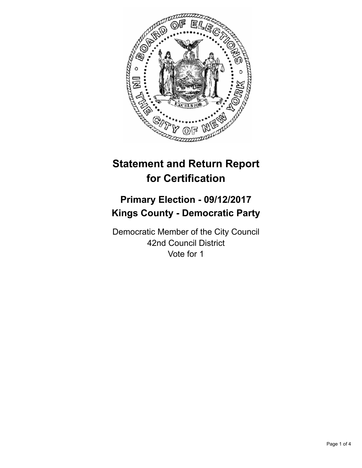

# **Statement and Return Report for Certification**

# **Primary Election - 09/12/2017 Kings County - Democratic Party**

Democratic Member of the City Council 42nd Council District Vote for 1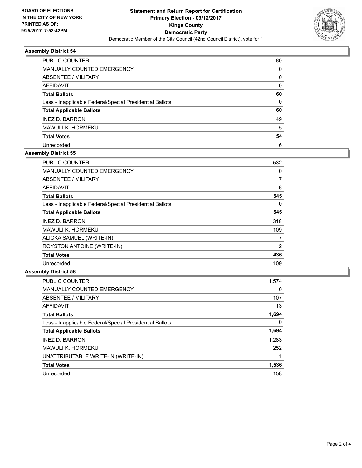

#### **Assembly District 54**

| <b>PUBLIC COUNTER</b>                                    | 60 |
|----------------------------------------------------------|----|
| <b>MANUALLY COUNTED EMERGENCY</b>                        | 0  |
| ABSENTEE / MILITARY                                      | 0  |
| AFFIDAVIT                                                | 0  |
| <b>Total Ballots</b>                                     | 60 |
| Less - Inapplicable Federal/Special Presidential Ballots | 0  |
| <b>Total Applicable Ballots</b>                          | 60 |
| <b>INEZ D. BARRON</b>                                    | 49 |
| <b>MAWULI K. HORMEKU</b>                                 | 5  |
| <b>Total Votes</b>                                       | 54 |
| Unrecorded                                               | 6  |

#### **Assembly District 55**

| <b>PUBLIC COUNTER</b>                                    | 532            |
|----------------------------------------------------------|----------------|
| MANUALLY COUNTED EMERGENCY                               | 0              |
| ABSENTEE / MILITARY                                      | $\overline{7}$ |
| <b>AFFIDAVIT</b>                                         | 6              |
| <b>Total Ballots</b>                                     | 545            |
| Less - Inapplicable Federal/Special Presidential Ballots | $\Omega$       |
| <b>Total Applicable Ballots</b>                          | 545            |
| INEZ D. BARRON                                           | 318            |
| MAWULI K. HORMEKU                                        | 109            |
| ALICKA SAMUEL (WRITE-IN)                                 | 7              |
| ROYSTON ANTOINE (WRITE-IN)                               | 2              |
| <b>Total Votes</b>                                       | 436            |
| Unrecorded                                               | 109            |
|                                                          |                |

#### **Assembly District 58**

| <b>PUBLIC COUNTER</b>                                    | 1,574 |
|----------------------------------------------------------|-------|
| <b>MANUALLY COUNTED EMERGENCY</b>                        | 0     |
| ABSENTEE / MILITARY                                      | 107   |
| <b>AFFIDAVIT</b>                                         | 13    |
| <b>Total Ballots</b>                                     | 1,694 |
| Less - Inapplicable Federal/Special Presidential Ballots | 0     |
| <b>Total Applicable Ballots</b>                          | 1,694 |
| <b>INEZ D. BARRON</b>                                    | 1,283 |
| MAWULI K. HORMEKU                                        | 252   |
| UNATTRIBUTABLE WRITE-IN (WRITE-IN)                       | 1     |
| <b>Total Votes</b>                                       | 1,536 |
| Unrecorded                                               | 158   |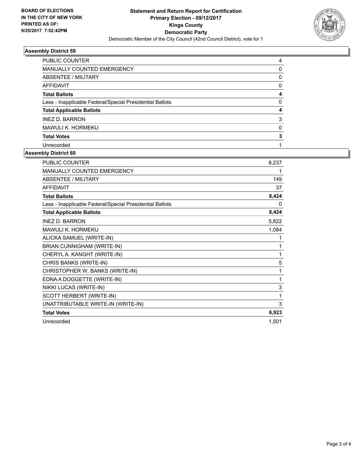

## **Assembly District 59**

| <b>PUBLIC COUNTER</b>                                    | 4        |
|----------------------------------------------------------|----------|
| <b>MANUALLY COUNTED EMERGENCY</b>                        | 0        |
| ABSENTEE / MILITARY                                      | 0        |
| AFFIDAVIT                                                | 0        |
| <b>Total Ballots</b>                                     | 4        |
| Less - Inapplicable Federal/Special Presidential Ballots | 0        |
| <b>Total Applicable Ballots</b>                          | 4        |
| <b>INEZ D. BARRON</b>                                    | 3        |
| <b>MAWULI K. HORMEKU</b>                                 | $\Omega$ |
| <b>Total Votes</b>                                       | 3        |
| Unrecorded                                               |          |

## **Assembly District 60**

| <b>PUBLIC COUNTER</b>                                    | 8,237 |
|----------------------------------------------------------|-------|
| <b>MANUALLY COUNTED EMERGENCY</b>                        |       |
| <b>ABSENTEE / MILITARY</b>                               | 149   |
| <b>AFFIDAVIT</b>                                         | 37    |
| <b>Total Ballots</b>                                     | 8,424 |
| Less - Inapplicable Federal/Special Presidential Ballots | 0     |
| <b>Total Applicable Ballots</b>                          | 8,424 |
| <b>INFZ D. BARRON</b>                                    | 5,822 |
| <b>MAWULI K. HORMEKU</b>                                 | 1,084 |
| ALICKA SAMUEL (WRITE-IN)                                 | 1     |
| BRIAN CUNNIGHAM (WRITE-IN)                               | 1     |
| CHERYL A. KANGHT (WRITE-IN)                              | 1     |
| CHRIS BANKS (WRITE-IN)                                   | 5     |
| CHRISTOPHER W. BANKS (WRITE-IN)                          | 1     |
| EDNA A DOGGETTE (WRITE-IN)                               | 1     |
| NIKKI LUCAS (WRITE-IN)                                   | 3     |
| SCOTT HERBERT (WRITE-IN)                                 | 1     |
| UNATTRIBUTABLE WRITE-IN (WRITE-IN)                       | 3     |
| <b>Total Votes</b>                                       | 6,923 |
| Unrecorded                                               | 1,501 |